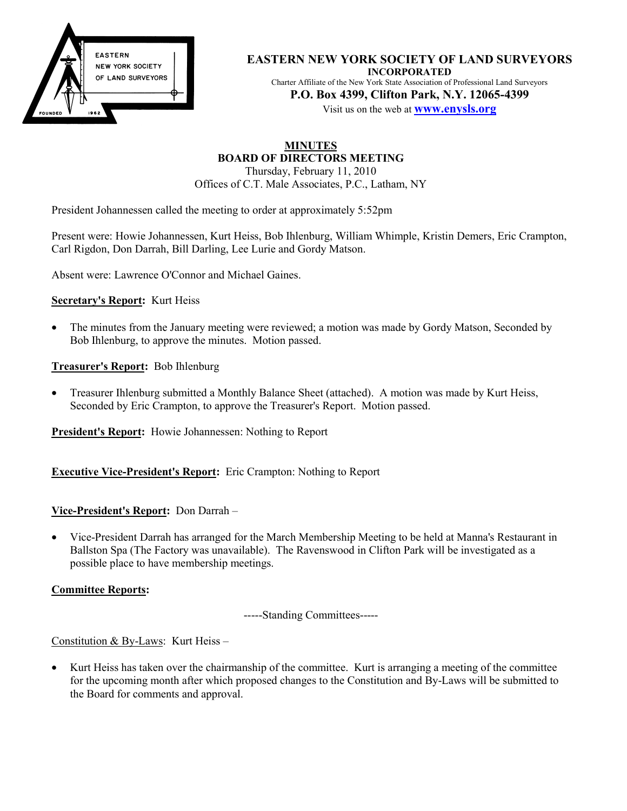

**EASTERN NEW YORK SOCIETY OF LAND SURVEYORS INCORPORATED** Charter Affiliate of the New York State Association of Professional Land Surveyors **P.O. Box 4399, Clifton Park, N.Y. 12065-4399**

Visit us on the web at **www.enysls.org**

#### **MINUTES BOARD OF DIRECTORS MEETING**

Thursday, February 11, 2010 Offices of C.T. Male Associates, P.C., Latham, NY

President Johannessen called the meeting to order at approximately 5:52pm

Present were: Howie Johannessen, Kurt Heiss, Bob Ihlenburg, William Whimple, Kristin Demers, Eric Crampton, Carl Rigdon, Don Darrah, Bill Darling, Lee Lurie and Gordy Matson.

Absent were: Lawrence O'Connor and Michael Gaines.

#### **Secretary's Report:** Kurt Heiss

- The minutes from the January meeting were reviewed; a motion was made by Gordy Matson, Seconded by Bob Ihlenburg, to approve the minutes. Motion passed.
- **Treasurer's Report:** Bob Ihlenburg
- Treasurer Ihlenburg submitted a Monthly Balance Sheet (attached). A motion was made by Kurt Heiss, Seconded by Eric Crampton, to approve the Treasurer's Report. Motion passed.

**President's Report:** Howie Johannessen: Nothing to Report

**Executive Vice-President's Report:** Eric Crampton: Nothing to Report

#### **Vice-President's Report:** Don Darrah –

• Vice-President Darrah has arranged for the March Membership Meeting to be held at Manna's Restaurant in Ballston Spa (The Factory was unavailable). The Ravenswood in Clifton Park will be investigated as a possible place to have membership meetings.

#### **Committee Reports:**

-----Standing Committees-----

Constitution & By-Laws: Kurt Heiss –

• Kurt Heiss has taken over the chairmanship of the committee. Kurt is arranging a meeting of the committee for the upcoming month after which proposed changes to the Constitution and By-Laws will be submitted to the Board for comments and approval.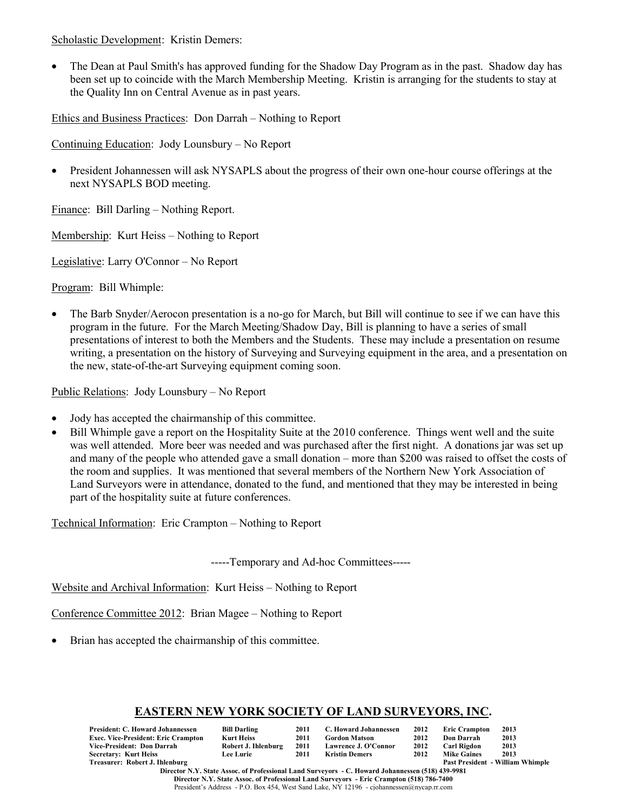Scholastic Development: Kristin Demers:

• The Dean at Paul Smith's has approved funding for the Shadow Day Program as in the past. Shadow day has been set up to coincide with the March Membership Meeting. Kristin is arranging for the students to stay at the Quality Inn on Central Avenue as in past years.

Ethics and Business Practices: Don Darrah – Nothing to Report

Continuing Education: Jody Lounsbury – No Report

• President Johannessen will ask NYSAPLS about the progress of their own one-hour course offerings at the next NYSAPLS BOD meeting.

Finance: Bill Darling – Nothing Report.

Membership: Kurt Heiss – Nothing to Report

Legislative: Larry O'Connor – No Report

Program: Bill Whimple:

• The Barb Snyder/Aerocon presentation is a no-go for March, but Bill will continue to see if we can have this program in the future. For the March Meeting/Shadow Day, Bill is planning to have a series of small presentations of interest to both the Members and the Students. These may include a presentation on resume writing, a presentation on the history of Surveying and Surveying equipment in the area, and a presentation on the new, state-of-the-art Surveying equipment coming soon.

Public Relations: Jody Lounsbury – No Report

- Jody has accepted the chairmanship of this committee.
- Bill Whimple gave a report on the Hospitality Suite at the 2010 conference. Things went well and the suite was well attended. More beer was needed and was purchased after the first night. A donations jar was set up and many of the people who attended gave a small donation – more than \$200 was raised to offset the costs of the room and supplies. It was mentioned that several members of the Northern New York Association of Land Surveyors were in attendance, donated to the fund, and mentioned that they may be interested in being part of the hospitality suite at future conferences.

Technical Information: Eric Crampton – Nothing to Report

-----Temporary and Ad-hoc Committees-----

Website and Archival Information: Kurt Heiss – Nothing to Report

Conference Committee 2012: Brian Magee – Nothing to Report

• Brian has accepted the chairmanship of this committee.

#### **EASTERN NEW YORK SOCIETY OF LAND SURVEYORS, INC.**

| President: C. Howard Johannessen           | <b>Bill Darling</b> | 2011 | C. Howard Johannessen | 2012 | <b>Eric Crampton</b> | 2013                                    |
|--------------------------------------------|---------------------|------|-----------------------|------|----------------------|-----------------------------------------|
| <b>Exec. Vice-President: Eric Crampton</b> | Kurt Heiss          | 2011 | <b>Gordon Matson</b>  | 2012 | Don Darrah           | 2013                                    |
| Vice-President: Don Darrah                 | Robert J. Ihlenburg | 2011 | Lawrence J. O'Connor  | 2012 | Carl Rigdon          | 2013                                    |
| Secretary: Kurt Heiss                      | <b>Lee Lurie</b>    | 2011 | Kristin Demers        | 2012 | <b>Mike Gaines</b>   | 2013                                    |
| Treasurer: Robert J. Ihlenburg             |                     |      |                       |      |                      | <b>Past President - William Whimple</b> |

**Director N.Y. State Assoc. of Professional Land Surveyors - C. Howard Johannessen (518) 439-9981 Director N.Y. State Assoc. of Professional Land Surveyors - Eric Crampton (518) 786-7400** President's Address - P.O. Box 454, West Sand Lake, NY 12196 - cjohannessen@nycap.rr.com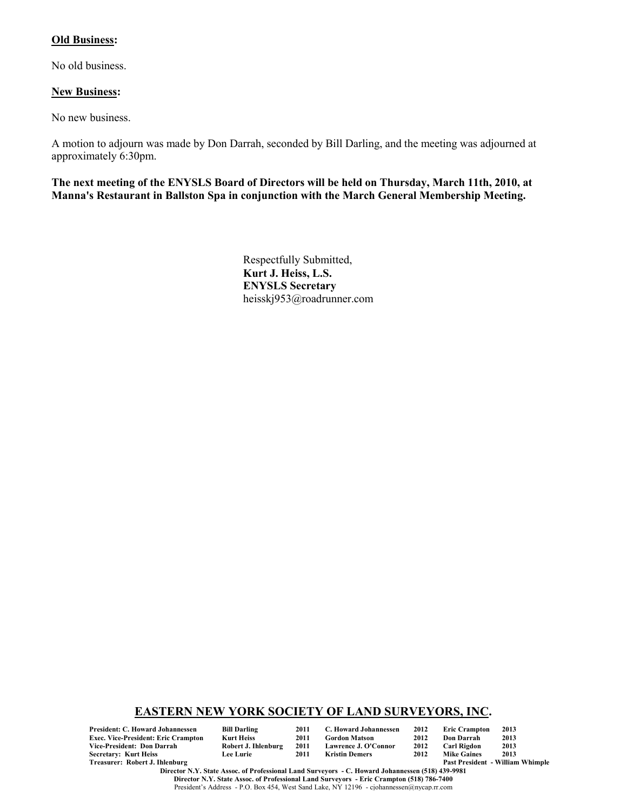#### **Old Business:**

No old business.

#### **New Business:**

No new business.

A motion to adjourn was made by Don Darrah, seconded by Bill Darling, and the meeting was adjourned at approximately 6:30pm.

**The next meeting of the ENYSLS Board of Directors will be held on Thursday, March 11th, 2010, at Manna's Restaurant in Ballston Spa in conjunction with the March General Membership Meeting.**

> Respectfully Submitted, **Kurt J. Heiss, L.S. ENYSLS Secretary** heisskj953@roadrunner.com

#### **EASTERN NEW YORK SOCIETY OF LAND SURVEYORS, INC.**

**President: C. Howard Johannessen Bill Darling 2011 C. Howard Johannessen 2012 Eric Crampton 2013 Exec. Vice-President: Eric Crampton Kurt Heiss 2011 Gordon Matson 2012 Don Darrah 2013 Vice-President: Don Darrah Robert J. Ihlenburg 2011 Lawrence J. O'Connor 2012 Carl Rigdon 2013 Secretary: Kurt Heiss<br>Treasurer: Robert J. Ihlenburg** 

| l Darling         |  |
|-------------------|--|
| rt Heiss          |  |
| bert J. Ihlenburg |  |
| ≀ Lurie           |  |

Past President - William Whimple

**Director N.Y. State Assoc. of Professional Land Surveyors - C. Howard Johannessen (518) 439-9981 Director N.Y. State Assoc. of Professional Land Surveyors - Eric Crampton (518) 786-7400** President's Address - P.O. Box 454, West Sand Lake, NY 12196 - cjohannessen@nycap.rr.com